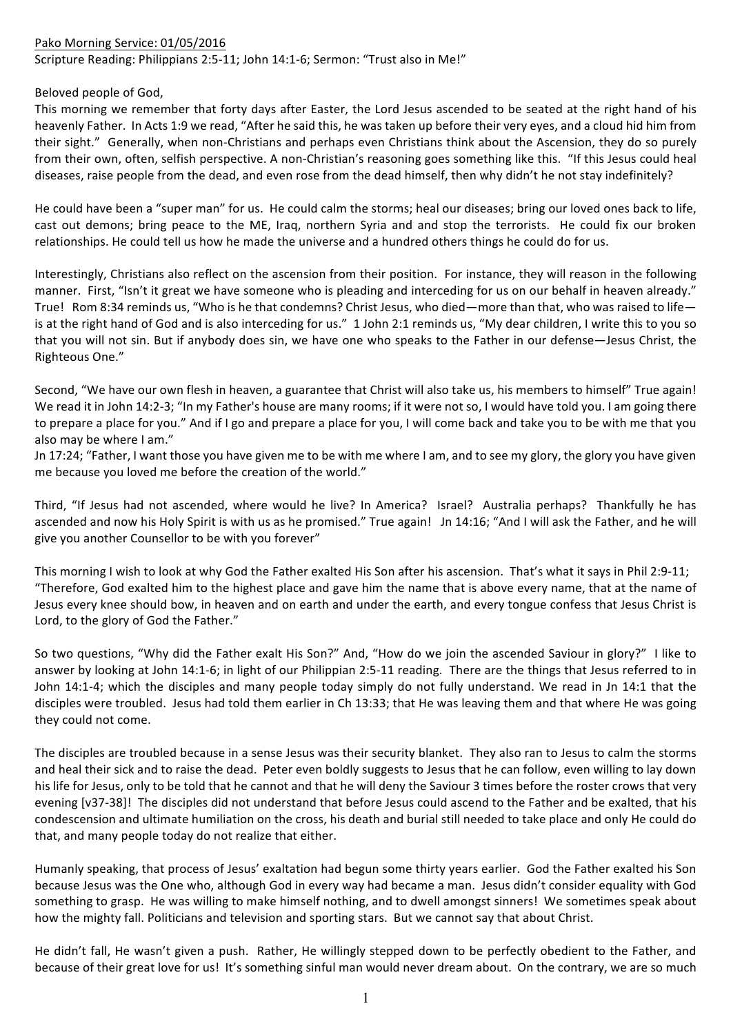## Pako Morning Service: 01/05/2016 Scripture Reading: Philippians 2:5-11; John 14:1-6; Sermon: "Trust also in Me!"

## Beloved people of God.

This morning we remember that forty days after Easter, the Lord Jesus ascended to be seated at the right hand of his heavenly Father. In Acts 1:9 we read, "After he said this, he was taken up before their very eyes, and a cloud hid him from their sight." Generally, when non-Christians and perhaps even Christians think about the Ascension, they do so purely from their own, often, selfish perspective. A non-Christian's reasoning goes something like this. "If this Jesus could heal diseases, raise people from the dead, and even rose from the dead himself, then why didn't he not stay indefinitely?

He could have been a "super man" for us. He could calm the storms; heal our diseases; bring our loved ones back to life, cast out demons; bring peace to the ME, Iraq, northern Syria and and stop the terrorists. He could fix our broken relationships. He could tell us how he made the universe and a hundred others things he could do for us.

Interestingly, Christians also reflect on the ascension from their position. For instance, they will reason in the following manner. First, "Isn't it great we have someone who is pleading and interceding for us on our behalf in heaven already." True! Rom 8:34 reminds us, "Who is he that condemns? Christ Jesus, who died—more than that, who was raised to life is at the right hand of God and is also interceding for us." 1 John 2:1 reminds us, "My dear children, I write this to you so that you will not sin. But if anybody does sin, we have one who speaks to the Father in our defense—Jesus Christ, the Righteous One." 

Second, "We have our own flesh in heaven, a guarantee that Christ will also take us, his members to himself" True again! We read it in John 14:2-3; "In my Father's house are many rooms; if it were not so, I would have told you. I am going there to prepare a place for you." And if I go and prepare a place for you, I will come back and take you to be with me that you also may be where I am."

Jn 17:24; "Father, I want those you have given me to be with me where I am, and to see my glory, the glory you have given me because you loved me before the creation of the world."

Third, "If Jesus had not ascended, where would he live? In America? Israel? Australia perhaps? Thankfully he has ascended and now his Holy Spirit is with us as he promised." True again! Jn 14:16; "And I will ask the Father, and he will give you another Counsellor to be with you forever"

This morning I wish to look at why God the Father exalted His Son after his ascension. That's what it says in Phil 2:9-11; "Therefore, God exalted him to the highest place and gave him the name that is above every name, that at the name of Jesus every knee should bow, in heaven and on earth and under the earth, and every tongue confess that Jesus Christ is Lord, to the glory of God the Father."

So two questions, "Why did the Father exalt His Son?" And, "How do we join the ascended Saviour in glory?" I like to answer by looking at John 14:1-6; in light of our Philippian 2:5-11 reading. There are the things that Jesus referred to in John 14:1-4; which the disciples and many people today simply do not fully understand. We read in Jn 14:1 that the disciples were troubled. Jesus had told them earlier in Ch 13:33; that He was leaving them and that where He was going they could not come.

The disciples are troubled because in a sense Jesus was their security blanket. They also ran to Jesus to calm the storms and heal their sick and to raise the dead. Peter even boldly suggests to Jesus that he can follow, even willing to lay down his life for Jesus, only to be told that he cannot and that he will deny the Saviour 3 times before the roster crows that very evening [v37-38]! The disciples did not understand that before Jesus could ascend to the Father and be exalted, that his condescension and ultimate humiliation on the cross, his death and burial still needed to take place and only He could do that, and many people today do not realize that either.

Humanly speaking, that process of Jesus' exaltation had begun some thirty years earlier. God the Father exalted his Son because Jesus was the One who, although God in every way had became a man. Jesus didn't consider equality with God something to grasp. He was willing to make himself nothing, and to dwell amongst sinners! We sometimes speak about how the mighty fall. Politicians and television and sporting stars. But we cannot say that about Christ.

He didn't fall, He wasn't given a push. Rather, He willingly stepped down to be perfectly obedient to the Father, and because of their great love for us! It's something sinful man would never dream about. On the contrary, we are so much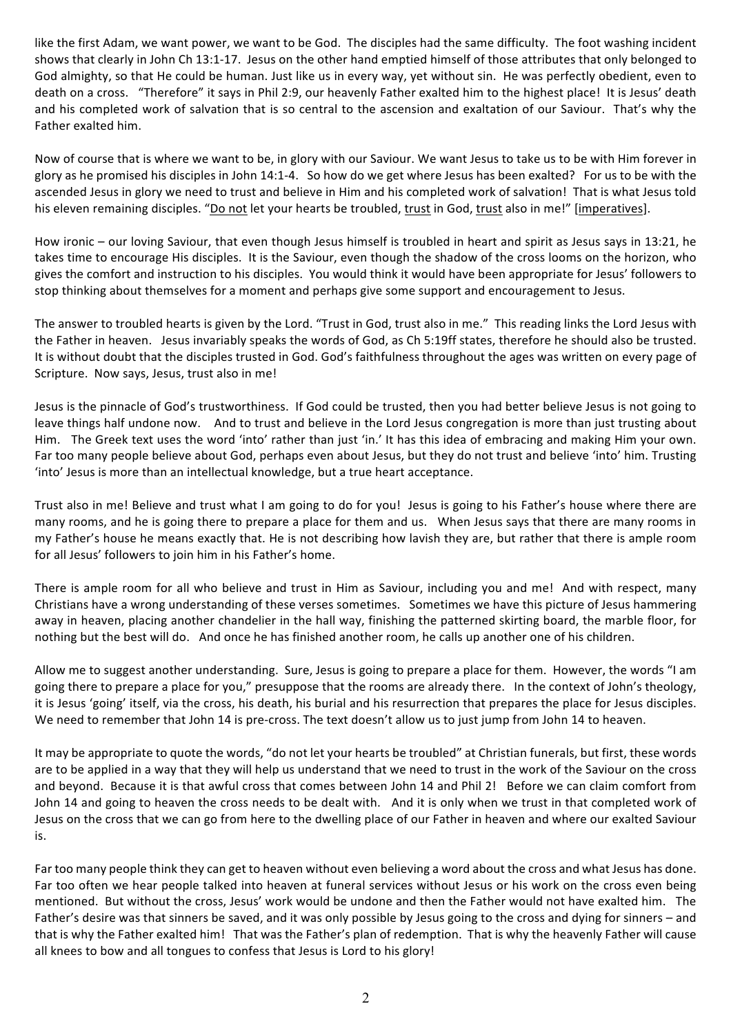like the first Adam, we want power, we want to be God. The disciples had the same difficulty. The foot washing incident shows that clearly in John Ch 13:1-17. Jesus on the other hand emptied himself of those attributes that only belonged to God almighty, so that He could be human. Just like us in every way, yet without sin. He was perfectly obedient, even to death on a cross. "Therefore" it says in Phil 2:9, our heavenly Father exalted him to the highest place! It is Jesus' death and his completed work of salvation that is so central to the ascension and exaltation of our Saviour. That's why the Father exalted him.

Now of course that is where we want to be, in glory with our Saviour. We want Jesus to take us to be with Him forever in glory as he promised his disciples in John 14:1-4. So how do we get where Jesus has been exalted? For us to be with the ascended Jesus in glory we need to trust and believe in Him and his completed work of salvation! That is what Jesus told his eleven remaining disciples. "Do not let your hearts be troubled, trust in God, trust also in me!" [imperatives].

How ironic – our loving Saviour, that even though Jesus himself is troubled in heart and spirit as Jesus says in 13:21, he takes time to encourage His disciples. It is the Saviour, even though the shadow of the cross looms on the horizon, who gives the comfort and instruction to his disciples. You would think it would have been appropriate for Jesus' followers to stop thinking about themselves for a moment and perhaps give some support and encouragement to Jesus.

The answer to troubled hearts is given by the Lord. "Trust in God, trust also in me." This reading links the Lord Jesus with the Father in heaven. Jesus invariably speaks the words of God, as Ch 5:19ff states, therefore he should also be trusted. It is without doubt that the disciples trusted in God. God's faithfulness throughout the ages was written on every page of Scripture. Now says, Jesus, trust also in me!

Jesus is the pinnacle of God's trustworthiness. If God could be trusted, then you had better believe Jesus is not going to leave things half undone now. And to trust and believe in the Lord Jesus congregation is more than just trusting about Him. The Greek text uses the word 'into' rather than just 'in.' It has this idea of embracing and making Him your own. Far too many people believe about God, perhaps even about Jesus, but they do not trust and believe 'into' him. Trusting 'into' Jesus is more than an intellectual knowledge, but a true heart acceptance.

Trust also in me! Believe and trust what I am going to do for you! Jesus is going to his Father's house where there are many rooms, and he is going there to prepare a place for them and us. When Jesus says that there are many rooms in my Father's house he means exactly that. He is not describing how lavish they are, but rather that there is ample room for all Jesus' followers to join him in his Father's home.

There is ample room for all who believe and trust in Him as Saviour, including you and me! And with respect, many Christians have a wrong understanding of these verses sometimes. Sometimes we have this picture of Jesus hammering away in heaven, placing another chandelier in the hall way, finishing the patterned skirting board, the marble floor, for nothing but the best will do. And once he has finished another room, he calls up another one of his children.

Allow me to suggest another understanding. Sure, Jesus is going to prepare a place for them. However, the words "I am going there to prepare a place for you," presuppose that the rooms are already there. In the context of John's theology, it is Jesus 'going' itself, via the cross, his death, his burial and his resurrection that prepares the place for Jesus disciples. We need to remember that John 14 is pre-cross. The text doesn't allow us to just jump from John 14 to heaven.

It may be appropriate to quote the words, "do not let your hearts be troubled" at Christian funerals, but first, these words are to be applied in a way that they will help us understand that we need to trust in the work of the Saviour on the cross and beyond. Because it is that awful cross that comes between John 14 and Phil 2! Before we can claim comfort from John 14 and going to heaven the cross needs to be dealt with. And it is only when we trust in that completed work of Jesus on the cross that we can go from here to the dwelling place of our Father in heaven and where our exalted Saviour is. 

Far too many people think they can get to heaven without even believing a word about the cross and what Jesus has done. Far too often we hear people talked into heaven at funeral services without Jesus or his work on the cross even being mentioned. But without the cross, Jesus' work would be undone and then the Father would not have exalted him. The Father's desire was that sinners be saved, and it was only possible by Jesus going to the cross and dying for sinners – and that is why the Father exalted him! That was the Father's plan of redemption. That is why the heavenly Father will cause all knees to bow and all tongues to confess that Jesus is Lord to his glory!